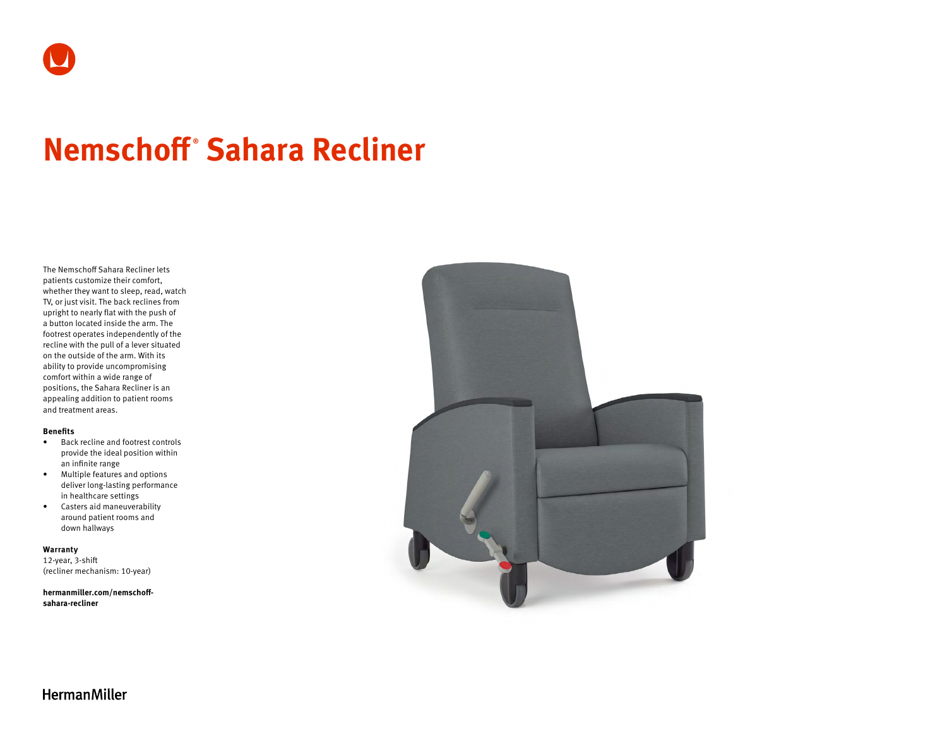# **Nemschoff ® Sahara Recliner**

The Nemschoff Sahara Recliner lets patients customize their comfort, whether they want to sleep, read, watch TV, or just visit. The back reclines from upright to nearly flat with the push of a button located inside the arm. The footrest operates independently of the recline with the pull of a lever situated on the outside of the arm. With its ability to provide uncompromising comfort within a wide range of positions, the Sahara Recliner is an appealing addition to patient rooms and treatment areas.

#### **Benefits**

- Back recline and footrest controls provide the ideal position within an infinite range
- Multiple features and options deliver long-lasting performance in healthcare settings
- Casters aid maneuverability around patient rooms and down hallways

**Warranty**  12-year, 3-shift (recliner mechanism: 10-year)

**[hermanmiller.com/nemschoff](http://hermanmiller.com/nemschoff-sahara-recliner)[sahara-recliner](http://hermanmiller.com/nemschoff-sahara-recliner)**



**HermanMiller**